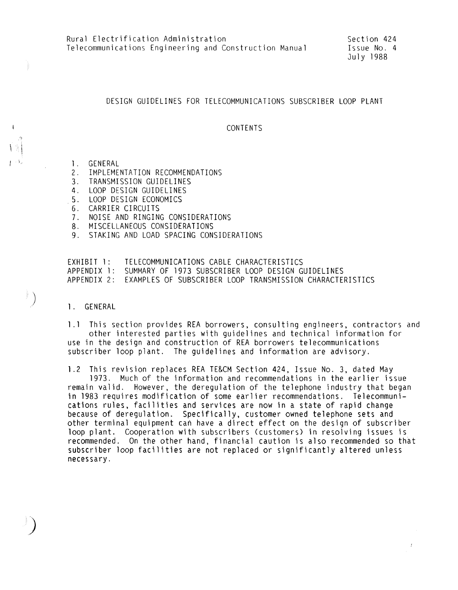### DESIGN GUIDELINES FOR TELECOMMUNICATIONS SUBSCRIBER LOOP PLANT

#### CONTENTS

1. GENERAL<br>2. IMPLEME

 $\Gamma^{(1)}$ 

*)* 

- 2. IMPLEMENTATION RECOMMENDATIONS<br>3. TRANSMISSION GUIDELINES
- 3. TRANSMISSION GUIDELINES<br>4. LOOP DESIGN GUIDELINES
- 4. LOOP DESIGN GUIDELINES<br>5. LOOP DESIGN ECONOMICS
- 5. LOOP DESIGN ECONOMICS
- 6. CARRIER CIRCUITS<br>7. NOISE AND RINGIN
- 7. NOISE AND RINGING CONSIDERATIONS
- 8. MISCELLANEOUS CONSIDERATIONS
- 9. STAKING AND LOAD SPACING CONSIDERATIONS

EXHIBIT l: APPENDIX l: SUMMARY OF 1973 SUBSCRIBER LOOP DESIGN GUIDELINES APPENDIX 2: EXAMPLES OF SUBSCRIBER LOOP TRANSMISSION CHARACTERISTICS TELECOMMUNICATIONS CABLE CHARACTERISTICS

l. GENERAL

l .l This section provides REA borrowers, consulting engineers, contractors and other interested parties with guidelines and technical information for use in the design and construction of REA borrowers telecommunications subscriber loop plant. The guidelines and information are advisory.

1 .2 This revision replaces REA TE&CM Section 424, Issue No. 3, dated May

1973. Much of the information and recommendations in the earlier issue remain valid. However, the deregulation of the telephone industry that began in 1983 requires modification of some earlier recommendations. Telecommunications rules, facilities and services are now in a state of rapid change because of deregulation. Specifically, customer owned telephone sets and other terminal equipment can have a direct effect on the design of subscriber loop plant. Cooperation with subscribers (customers) in resolving issues is recommended. On the other hand, financial caution is also recommended so that subscriber loop facilities are not replaced or significantly altered unless necessary.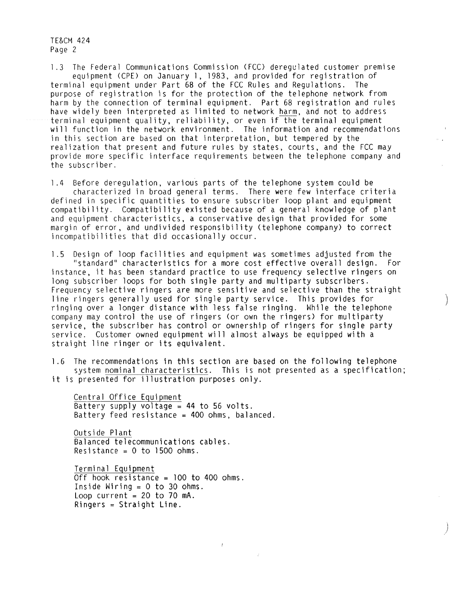l .3 The Federal Communications Commission (FCC) deregulated customer premise equipment (CPE) on January 1, 1983, and provided for registration of<br>nal equipment under Part 68 of the FCC Rules and Requlations. The terminal equipment under Part 68 of the FCC Rules and Requlations. purpose of registration is for the protection of the telephone network from harm by the connection of terminal equipment. Part 68 registration and rules have widely been interpreted as limited to network harm, and not to address terminal equipment quality, reliability, or even if the terminal equipment will function in the network environment. The information and recommendations in this section are based on that interpretation, but tempered by the realization that present and future rules by states, courts, and the FCC may provide more specific interface requirements between the telephone company and the subscriber.

1.4 Before deregulation, various parts of the telephone system could be characterized in broad general terms. There were few interface criteria defined in specific quantities to ensure subscriber loop plant and equipment compatibility. Compatibility existed because of a general knowledge of plant and equipment characteristics, a conservative design that provided for some margin of error, and undivided responsibility (telephone company) to correct incompatibilities that did occasionally occur.

l .5 Design of loop facilities and equipment was sometimes adjusted from the "standard" characteristics for a more cost effective overall design. For instance, it has been standard practice to use frequency selective ringers on long subscriber loops for both single party and multiparty subscribers. Frequency selective ringers are more sensitive and selective than the straight line ringers generally used for single party service. This provides for ringing over a longer distance with less false ringing. While the telephone company may control the use of ringers (or own the ringers) for multiparty service, the subscriber has control or ownership of ringers for single party service. Customer owned equipment will almost always be equipped with a straight line ringer or its equivalent.

l .6 The recommendations in this section are based on the following telephone system nominal characteristics. This is not presented as a specification; it is presented for illustration purposes only.

 $\bar{f}$ 

Central Office Equipment Battery supply voltage= **44** to 56 volts. Battery feed resistance =  $400$  ohms, balanced.

Outside Plant Balanced telecommunications cables. Resistance =  $0$  to 1500 ohms.

Terminal Equipment Off hook resistance =  $100$  to 400 ohms. Inside Wiring =  $0$  to 30 ohms. Loop current =  $20$  to 70 mA. Ringers = Straight Line.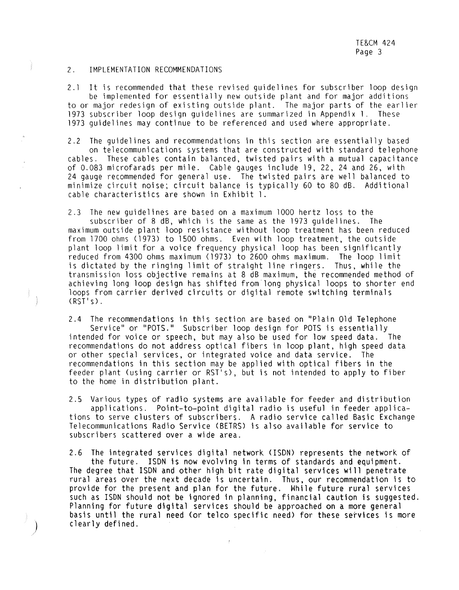#### 2. IMPLEMENTATION RECOMMENDATIONS

÷

2.1 It is recommended that these revised guidelines for subscriber loop design be implemented for essentially new outside plant and for major additions to or major redesign of existing outside plant. The major parts of the earlier 1973 subscriber loop design guidelines are summarized in Appendix l. These 1973 guidelines may continue to be referenced and used where appropriate.

2.2 The guidelines and recommendations in this section are essentially based on telecommunications systems that are constructed with standard telephone cables. These cables contain balanced, twisted pairs with a mutual capacitance of 0.083 microfarads per mile. Cable gauges include 19, 22, 24 and 26, with 24 gauge recommended for general use. The twisted pairs are well balanced to minimize circuit noise; circuit balance is typically 60 to 80 dB. Additional cable characteristics are shown in Exhibit l.

2.3 The new guidelines are based on a maximum 1000 hertz loss to the subscriber of 8 dB, which is the same as the 1973 guidelines. The maximum outside plant loop resistance without loop treatment has been reduced from 1700 ohms (1973) to 1500 ohms. Even with loop treatment, the outside plant loop limit for a voice frequency physical loop has been significant reduced from 4300 ohms maximum (1973) to 2600 ohms maximum. The loop limit is dictated by the ringing limit of straight line ringers. Thus, while the transmission loss objective remains at 8 dB maximum, the recommended method of achieving long loop design has shifted from long physical loops to shorter end loops from carrier derived circuits or digital remote switching terminals (RST's).

2.4 The recommendations in this section are based on "Plain Old Telephone Service" or "POTS." Subscriber loop design for POTS is essentially intended for voice or speech, but may also be used for low speed data. The recommendations do not address optical fibers in loop plant, high speed data or other special services, or integrated voice and data service. The recommendations in this section may be applied with optical fibers in the feeder plant (using carrier or RST's), but is not intended to apply to fiber to the home in distribution plant.

2.5 Various types of radio systems are available for feeder and distribution applications. Point-to-point digital radio is useful in feeder applications to serve clusters of subscribers. A radio service called Basic Exchange Telecommunications Radio Service <BETRS) is also available for service to subscribers scattered over a wide area.

2.6 The integrated services digital network <ISDN) represents the network of

the future. ISDN is now evolving in terms of standards and equipment. The degree that ISDN and other high bit rate digital services will penetrate rural areas over the next decade is uncertain. Thus, our recommendation is to provide for the present and plan for the future. While future rural services such as ISDN should not be ignored in planning, financial caution is suggested. Planning for future digital services should be approached on a more general basis until the rural need (or telco specific need) for these services is more *)* clearly defined.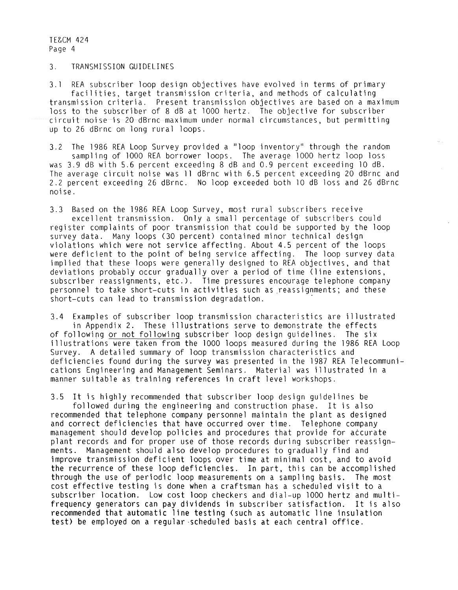#### 3. TRANSMISSION GUIDELINES

3. l REA subscriber loop design objectives have evolved in terms of primary facilities, target transmission criteria, and methods of calculating transmission criteria. Present transmission objectives are based on a maximum loss to the subscriber of 8 dB at 1000 hertz. The objective for subscriber circuit noise is 20 dBrnc maximum under normal circumstances, but permitting up to 26 dBrnc on long rural loops.

3.2 The 1986 REA Loop Survey provided a "loop inventory" through the random sampling of 1000 REA borrower loops. The average 1000 hertz loop loss was 3.9 dB with 5.6 percent exceeding 8 dB and 0.9 percent exceeding 10 dB. The average circuit noise was 11 dBrnc with 6.5 percent exceeding 20 dBrnc and 2.2 percent exceeding 26 dBrnc. No loop exceeded both 10 dB loss and 26 dBrnc noise.

3.3 Based on the 1986 REA Loop Survey, most rural subscribers receive excellent transmission. Only a small percentage of subscribers could register complaints of poor transmission that could be supported by the loop survey data. Many loops (30 percent) contained minor technical design violations which were not service affecting. About 4.5 percent of the loops were deficient to the point of being service affecting. The loop survey data implied that these loops were generally designed to REA objectives, and that deviations probably occur gradually over a period of time Cline extensions, subscriber reassignments, etc.). Time pressures encourage telephone company personnel to take short-cuts in activities such as reassignments; and these short-cuts can lead to transmission degradation.

3.4 Examples of subscriber loop transmission characteristics are illustrated in Appendix 2. These illustrations serve to demonstrate the effects of following or not following subscriber loop design guidelines. The six illustrations were taken from the 1000 loops measured during the 1986 REA Loop Survey. A detailed summary of loop transmission characteristics and deficiencies found during the survey was presented in the 1987 REA Telecommunications Engineering and Management Seminars. Material was illustrated in a manner suitable as training references in craft level workshops.

3.5 It is highly recommended that subscriber loop design guidelines be followed during the engineering and construction phase. It is also recommended that telephone company personnel maintain the plant as designed and correct deficiencies that have occurred over time. Telephone company management should develop policies and procedures that provide for accurate plant records and for proper use of those records during subscriber reassignments. Management should also develop procedures to gradually find and improve transmission deficient loops over time at minimal cost, and to avoid the recurrence of these loop deficiencies. In part, this can be accomplished through the use of periodic loop measurements on a sampling basis. The most cost effective testing is done when a craftsman has a scheduled visit to a subscriber location. Low cost loop checkers and dial-up 1000 hertz and multifrequency generators can pay dividends in subscriber satisfaction. It is also recommended that automatic line testing (such as automatic line insulation test) be employed on a regular -scheduled basis at each central office.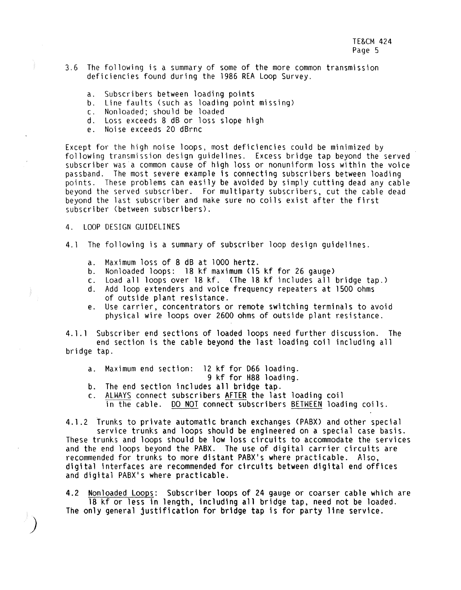- 3.6 The following is a summary of some of the more common transmission deficiencies found during the 1986 REA Loop Survey.
	-
	- a. Subscribers between loading points<br>b. Line faults (such as loading point missing)
	- c. Nonloaded; should be loaded
	- d. Loss exceeds 8 dB or loss slope high
	- e. Noise exceeds 20 dBrnc

Except for the high noise loops, most deficiencies could be minimized by following transmission design guidelines. Excess bridge tap beyond the served subscriber was a common cause of high loss or nonuniform loss within the voice passband. The most severe example is connecting subscribers between loading points. These problems can easily be avoided by simply cutting dead any cable beyond the served subscriber. For multiparty subscribers, cut the cable dead beyond the last subscriber and make sure no coils exist after the first subscriber (between subscribers).

4. LOOP DESIGN GUIDELINES

*)* 

- 4. l The following is a summary of subscriber loop design guidelines.
	- a. Maximum loss of 8 dB at 1000 hertz.
	- b. Nonloaded loops: 18 kf maximum {15 kf for 26 gauge)
	- c. Load all loops over 18 kf. <The 18 kf includes all bridge tap.)
	- d. Add loop extenders and voice frequency repeaters at 1500 ohms of outside plant resistance.
	- e. Use carrier, concentrators or remote switching terminals to avoid physical wire loops over 2600 ohms of outside plant resistance.

4. 1. 1 Subscriber end sections of loaded loops need further discussion. The end section is the cable beyond the last loading coil including all bridge tap.

- a. Maximum end section: 12 kf for D66 loading.
- 9 kf for H88 loading.
- b. The end section includes all bridge tap.
- c. ALWAYS connect subscribers AFTER the last loading coil in the cable. 00 NOT connect subscribers BETWEEN loading coils.

4.1.2 Trunks to private automatic branch exchanges (PABX) and other special service trunks and loops should be engineered on a special case basis. These trunks and loops should be low loss circuits to accommodate the services and the end loops beyond the PABX. The use of digital carrier circuits are recommended for trunks to more distant PABX's where practicable. Also, digital interfaces are recommended for circuits between digital end offices and digital PABX's where practicable.

4.2 Nonloaded Loops: Subscriber loops of 24 gauge or coarser cable which are 18 kf or less in length. including all bridge tap. need not be loaded. The only general justification for bridge tap is for party line service.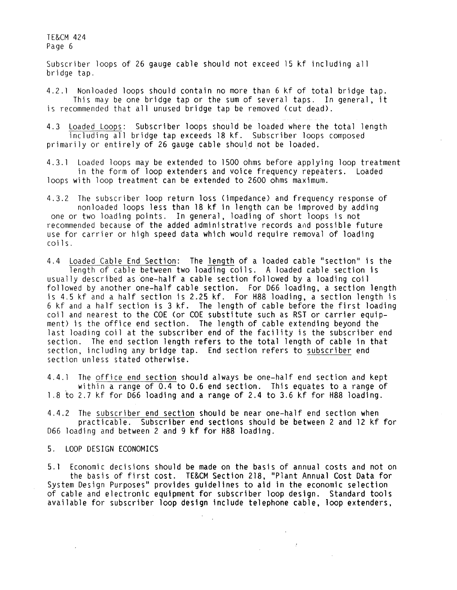Subscriber loops of 26 gauge cable should not exceed 15 kf including all bridge tap.

4.2.1 Nonloaded loops should contain no more than 6 kf of total bridge tap. This may be one bridge tap or the sum of several taps. In general, it is recommended that all unused bridge tap be removed (cut dead).

4. 3 Loaded Loops: Subscriber loops should be loaded where the total length including all bridge tap exceeds 18 kf. Subscriber loops composed primarily or entirely of 26 gauge cable should not be loaded.

4.3. l Loaded loops may be extended to 1500 ohms before applying loop treatment in the form of loop extenders and voice frequency repeaters. Loaded loops with loop treatment can be extended to 2600 ohms maximum.

4.3.2 The subscriber loop return loss (impedance) and frequency response of nonloaded loops less than 18 kf in length can be improved by adding one or two loading points. In general, loading of short loops is not recommended because of the added administrative records and possible future use for carrier or high speed data which would require removal of loading coils.

4.4 Loaded Cable End Section: The length of a loaded cable "section" is the length of cable between two loading coils. A loaded cable section is usually described as one-half a cable section followed by a loading coil followed by another one-half cable section. For D66 loading, a section length is 4.5 kf and a half section is 2.25 kf. For H88 loading, a section length is 6 kf and a half section is 3 kf. The length of cable before the first loading coil and nearest to the COE (or COE substitute such as RST or carrier equipment) is the office end section. The length of cable extending beyond the last loading coil at the subscriber end of the facility is the subscriber end section. The end section length refers to the total length of cable in that section, including any bridge tap. End section refers to subscriber end section unless stated otherwise.

4.4. l The office end section should always be one-half end section and kept within a range of 0.4 to 0.6 end section. This equates to a range of l .8 to 2.7 kf for D66 loading and a range of 2.4 to 3.6 kf for H88 loading.

4.4.2 The subscriber end section should be near one-half end section when practicable. Subscriber end sections should be between 2 and 12 kf for D66 loading and between 2 and 9 kf for H88 loading.

5. LOOP DESIGN ECONOMICS

 $\sim$ 

5. 1 Economic decisions should be made on the basis of annual costs and not on the basis of first cost. TE&CM Section 218, "Plant Annual Cost Data for System Design Purposes" provides guidelines to aid in the economic selection of cable and electronic equipment for subscriber loop design. Standard tools available for subscriber loop design include telephone cable, loop extenders,

 $\mathbb{R}^{\mathbb{Z}}$ 

 $\sim 10^{-11}$ 

 $\sim T_{\rm{max}}$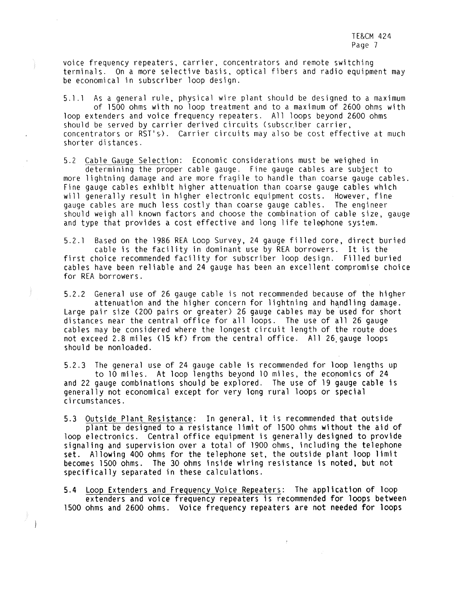voice frequency repeaters, carrier, concentrators and remote switching terminals. On a more selective basis, optical fibers and radio equipment may be economical in subscriber loop design.

5.1 .l As a general rule, physical wire plant should be designed to a maximum of 1500 ohms with no loop treatment and to a maximum of 2600 ohms with loop extenders and voice frequency repeaters. All loops beyond 2600 ohms should be served by carrier derived circuits (subscriber carrier,

concentrators or RST's). Carrier circuits may also be cost effective at much shorter distances.

5.2 Cable Gauge Selection: Economic considerations must be weighed in determining the proper cable gauge. Fine gauge cables are subject to more lightning damage and are more fragile to handle than coarse gauge cables. Fine gauge cables exhibit higher attenuation than coarse gauge cables which will generally result in higher electronic equipment costs. However, fine gauge cables are much less costly than coarse gauge cables. The engineer should weigh all known factors and choose the combination of cable size, gauge and type that provides a cost effective and long life telephone system.

5.2.l Based on the 1986 REA Loop Survey, 24 gauge filled core, direct buried cable is the facility in dominant use by REA borrowers. It is the first choice recommended facility for subscriber loop design. Filled buried cables have been reliable and 24 gauge has been an excellent compromise choice for REA borrowers.

5.2.2 General use of 26 gauge cable is not recommended because of the higher attenuation and the higher concern for lightning and handling damage. Large pair size (200 pairs or greater) 26 gauge cables may be used for short distances near the central office for all loops. The use of all 26 gauge cables may be considered where the longest circuit length of the route does not exceed 2.8 miles (15 kf) from the central office. All 26,gauge loops should be nonloaded.

5.2.3 The general use of 24 gauge cable is recommended for loop lengths up to 10 miles. At loop lengths beyond 10 miles, the economics of 24 and 22 gauge combinations should be explored. The use of 19 gauge cable is generally not economical except for very long rural loops or special circumstances.

5.3 Outside Plant Resistance: In general, it is recommended that outside plant be designed to a resistance limit of 1500 ohms without the aid of loop electronics. Central office equipment is generally designed to provide signaling and supervision over a total of 1900 ohms, including the telephone set. Allowing 400 ohms for the telephone set, the outside plant loop limit becomes 1500 ohms. The 30 ohms inside wiring resistance is noted, but not specifically separated in these calculations.

5.4 Loop Extenders and Frequency Voice Repeaters: The application of loop extenders and voice frequency repeaters is recommended for loops between 1500 ohms and 2600 ohms. Voice frequency repeaters are not needed for loops

 $\rightarrow$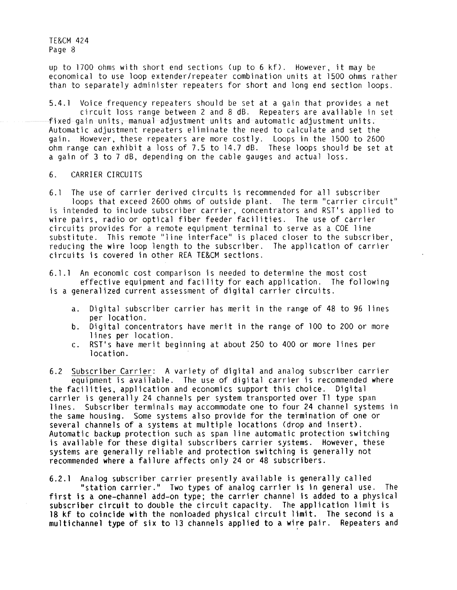up to 1700 ohms with short end sections (up to 6 kf). However, it may be economical to use loop extender/repeater combination units at 1500 ohms rather than to separately administer repeaters for short and long end section loops.

5.4.l Voice frequency repeaters should be set at a gain that provides a net circuit loss range between 2 and 8 dB. Repeaters are available in set  $f$ ixed qain units, manual adjustment units and automatic adjustment units. Automatic adjustment repeaters eliminate the need to calculate and set the gain. However, these repeaters are more costly. Loops in the 1500 to 2600 ohm range can exhibit a loss of 7.5 to 14.7 dB. These loops should be set at a gain of 3 to 7 dB, depending on the cable gauges and actual loss.

# 6. CARRIER CIRCUITS

6.1 The use of carrier derived circuits is recommended for all subscriber loops that exceed 2600 ohms of outside plant. The term "carrier circuit" is intended to include subscriber carrier, concentrators and RST's applied to wire pairs, radio or optical fiber feeder facilities. The use of carrier circuits provides for a remote equipment terminal to serve as a COE line substitute. This remote "line interface" is placed closer to the subscriber, reducing the **wire** loop length to the subscriber. The application of carrier circuits is covered in other REA TE&CM sections.

6. l. l An economic cost comparison is needed to determine the most cost effective equipment and facility for each application. The following is a generalized current assessment of digital carrier circuits.

- a. Digital subscriber carrier has merit in the range of 48 to 96 lines per location.
- b. Digital concentrators have merit in the range of 100 to 200 or more lines per location.
- C. RST's have merit beginning at about 250 to 400 or more lines per location.

6.2 Subscriber Carrier: A variety of digital and analog subscriber carrier equipment is available. The use of digital carrier is recommended where the facilities, application and economics support this choice. Digital carrier is generally 24 channels per system transported over Tl type span lines. Subscriber terminals may accommodate one to four 24 channel systems in the same housing. Some systems also provide for the termination of one or several channels of a systems at multiple locations (drop and insert). Automatic backup protection such as span line automatic protection switching is available for these digital subscribers carrier systems. However, these systems are generally reliable and protection switching is generally not recommended where a failure affects only 24 or 48 subscribers.

6.2. 1 Analog subscriber carrier presently available is generally called "station carrier." Two types of analog carrier is in general use. The first is a one-channel add-on type; the carrier channel is added to a physical subscriber circuit to double the circuit capacity. The application limit is 18 kf to coincide **with** the nonloaded physical circuit limit. The second is a multichannel type of six to 13 channels applied to a wire pair. Repeaters and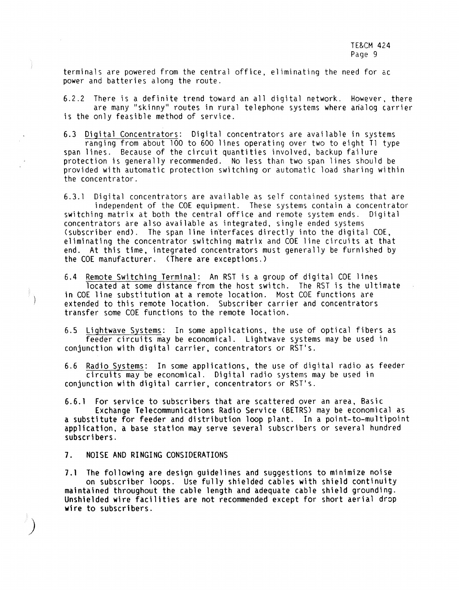terminals are powered from the central office, eliminating the need for ac power and batteries along the route.

6.2.2 There is a definite trend toward an all digital network. However, there are many "skinny" routes in rural telephone systems where analog carrier is the only feasible method of service.

6.3 Digital Concentrators: Digital concentrators are available in systems ranging from about 100 to 600 lines operating over two to eight Tl type span lines. Because of the circuit quantities involved, backup failure protection is generally recommended. No less than two span lines should be provided with automatic protection switching or automatic load sharing within the concentrator.

6.3. l Digital concentrators are available as self contained systems that are independent of the COE equipment. These systems contain a concentrator<br>ng matrix at both the central office and remote system ends. Digital switching matrix at both the central office and remote system ends. concentrators are also available as integrated, single ended systems (subscriber end). The span line interfaces directly into the digital  $COE$ , eliminating the concentrator switching matrix and COE line circuits at that end. At this time, integrated concentrators must generally be furnished by the COE manufacturer. (There are exceptions.)

6.4 Remote Switching Terminal: An RST is a group of digital COE lines located at some distance from the host switch. The RST is the ultimate in COE line substitution at a remote location. Most COE functions are extended to this remote location. Subscriber carrier and concentrators transfer some COE functions to the remote location.

6.5 Lightwave Systems: In some applications, the use of optical fibers as feeder circuits may be economical. Lightwave systems may be used in conjunction with digital carrier, concentrators or RST's.

6.6 Radio Systems: In some applications, the use of digital radio as feeder circuits may be economical. Digital radio systems may be used in conjunction **with** digital carrier, concentrators or RST's.

6.6.1 For service to subscribers that are scattered over an area, Basic Exchange Telecommunications Radio Service <BETRS) may be economical as a substitute for feeder and distribution loop plant. In a point-to-multipoint application, a base station may serve several subscribers or several hundred

7. NOISE AND RINGING CONSIDERATIONS

subscribers.

*)* 

7.1 The following are design guidelines and suggestions to minimize noise on subscriber loops. Use fully shielded cables with shield continuity maintained throughout the cable length and adequate cable shield grounding. Unshielded wire facilities are not recommended except for short aerial drop **wire** to subscribers.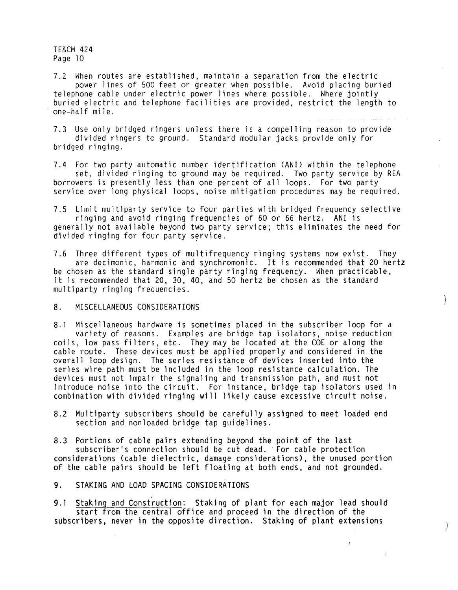7.2 When routes are established, maintain a separation from the electric power lines of 500 feet or greater when possible. Avoid placing buried telephone cable under electric power lines where possible. Where jointly buried electric and telephone facilities are provided, restrict the length to one-half mile.

7.3 Use only bridged ringers unless there is a compelling reason to provide divided ringers to ground. Standard modular jacks provide only for bridged ringing.

7.4 For two party automatic number identification (ANI) within the telephone set, divided ringing to ground may be required. Two party service by REA borrowers is presently less than one percent of all loops. For two party service over long physical loops, noise mitigation procedures may be required.

7.5 Limit multiparty service to four parties with bridged frequency selective ringing and avoid ringing frequencies of 60 or 66 hertz. ANI is generally not available beyond two party service; this eliminates the need for divided ringing for four party service.

7.6 Three different types of multifrequency ringing systems now exist. They are decimonic, harmonic and synchromonic. It is recommended that 20 hertz be chosen as the standard single party ringing frequency. When practicable, it is recommended that 20, 30, 40, and 50 hertz be chosen as the standard multiparty ringing frequencies.

Ì

 $\Big)$ 

 $\bar{f}$ 

# 8. MISCELLANEOUS CONSIDERATIONS

8. 1 Miscellaneous hardware is sometimes placed in the subscriber loop for a variety of reasons. Examples are bridge tap isolators; noise reduction coils, low pass filters, etc. They may be located at the COE or along the cable route. These devices must be applied properly and considered in the overall loop design. The series resistance of devices inserted into the series wire path must be included in the loop resistance calculation. The devices must not impair the signaling and transmission path, and must not introduce noise into the circuit. For instance, bridge tap isolators used in combination with divided ringing will likely cause excessive circuit noise.

8.2 Multiparty subscribers should be carefully assigned to meet loaded end section and nonloaded bridge tap guidelines.

8.3 Portions of cable pairs extending beyond the point of the last

subscriber's connection should be cut dead. For cable protection considerations (cable dielectric, damage considerations), the unused portion of the cable pairs should be left floating at both ends, and not grounded.

9. STAKING AND LOAD SPACING CONSIDERATIONS

9.1 Staking and Construction: Staking of plant for each major lead should start from the central office and proceed in the direction of the subscribers, never in the opposite direction. Staking of plant extensions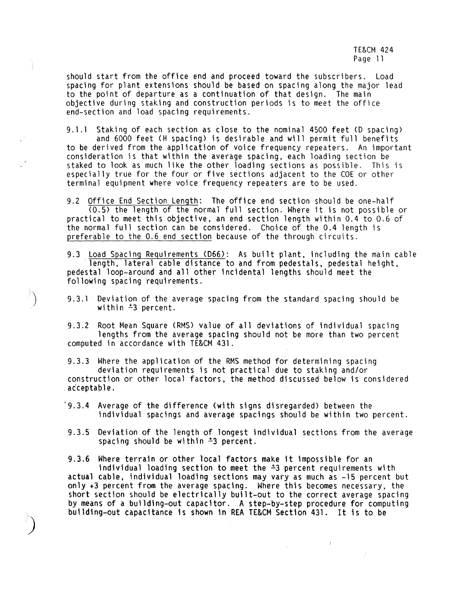should start from the office end and proceed toward the subscribers. Load spacing for plant extensions should be based on spacing along the major lead to the point of departure as a continuation of that design. The main objective during staking and construction periods is to meet the office end-section and load spacing requirements.

9.1.l Staking of each section as close to the nominal 4500 feet (D spacing) and 6000 feet (H spacing) is desirable and will permit full benefits to be derived from the application of voice frequency repeaters. An important consideration is that within the average spacing, each loading section be staked to look as much like the other loading sections as possible. This is especially true for the four or five sections adjacent to the COE or other terminal equipment where voice frequency repeaters are to be used.

9.2 Office End Section Length: The office end section should be one-half (0.5) the length of the normal full section. Where it is not possible or practical to meet this objective, an end section length within 0.4 to 0.6 of the normal full section can be considered. Choice of the 0.4 length is preferable to the 0.6. end section because of the through circuits.

9.3 Load Spacing Requirements (D66): As built plant, including the main cable is length, lateral cable distance to and from pedestals, pedestal height, pedestal loop-around and all other incidental lengths should meet the following spacing requirements.

9.3.1 Deviation of the average spacing from the standard spacing should be within  $\pm 3$  percent.

 $\sum_{i=1}^{n}$ 

*)* 

9.3.2 Root Mean Square (RMS) value of all deviations of individual spacing lengths from the average spacing should not be more than two percent computed in accordance with TE&CM 431.

9.3.3 Where the application of the RMS method for determining spacing deviation requirements is not practical due to staking and/or construction or other local factors, the method discussed below is considered acceptable.

'9.3.4 Average of the difference (with signs disregarded) between the individual spacings and average spacings should be within two percent.

9.3.5 Deviation of the length of longest individual sections from the average spacing should be within  $\pm 3$  percent.

9.3.6 Where terrain or other local factors make it impossible for an individual loading section to meet the  $\pm 3$  percent requirements with actual cable, individual loading sections may vary as much as -15 percent but only +3 percent from the average spacing. Where this becomes necessary, the short section should be electrically built-out to the correct average spacing by means of a building-out capacitor. A step-by-step procedure for computing building-out capacitance is shown in REA TE&CM Section 431. It is to be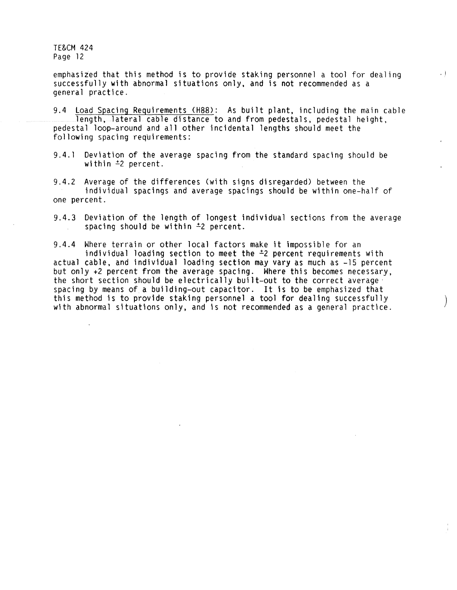emphasized that this method is to provide staking personnel a tool for dealing  $\cdot$ successfully with abnormal situations only, and is not recommended as a general practice.

9.4 Load Spacing Requirements (H88): As built plant, including the main cable length, lateral cable distance to and from pedestals, pedestal height, pedestal loop-around and all other incidental lengths should meet the following spacing requirements:

9.4. l Deviation of the average spacing from the standard spacing should be within <sup>±2</sup> percent.

9.4.2 Average of the differences (with signs disregarded) between the individual spacings and average spacings should be within one-half of one percent.

9.4.3 Deviation of the length of longest individual sections from the average spacing should be within <sup> $\pm$ 2</sup> percent.

9.4.4 Where terrain or other local factors make it impossible for an individual loading section to meet the *i2* percent requirements with actual cable, and individual loading section may vary as much as -15 percent but only +2 percent from the average spacing. Where this becomes necessary, the short section should be electrically built-out to the correct average· spacing by means of a building-out capacitor. It is to be emphasized that this method is to provide staking personnel a tool for dealing successfully with abnormal situations only, and is not recommended as a general practice. *)*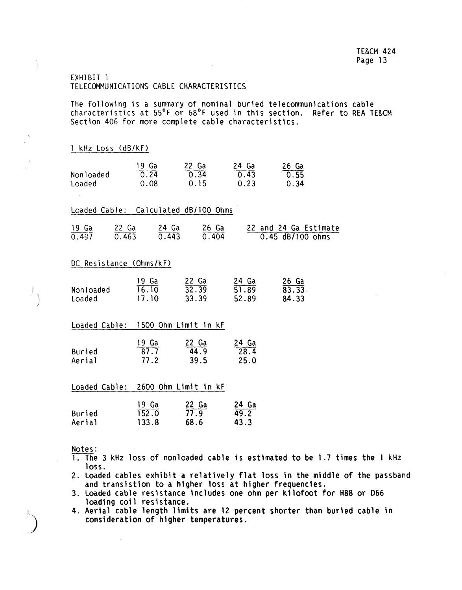# EXHIBIT 1 TELECOMMUNICATIONS CABLE CHARACTERISTICS

The following is a summary of nominal buried telecommunications cable characteristics at 55°F or 68°F used in this section. Refer to REA TE&CM Section 406 for more complete cable characteristics.

| 1 kHz Loss (dB/kF)                   |             |                                                                                                |             |                                                                                                                                                                |
|--------------------------------------|-------------|------------------------------------------------------------------------------------------------|-------------|----------------------------------------------------------------------------------------------------------------------------------------------------------------|
| Nonloaded<br>Loaded                  | 0.08        | $\frac{19}{0.24}$ $\frac{0.22}{0.34}$ $\frac{24}{0.43}$ $\frac{26}{0.55}$<br>0.15              | 0.23        | 0.34                                                                                                                                                           |
| Loaded Cable: Calculated dB/100 Ohms |             |                                                                                                |             |                                                                                                                                                                |
|                                      |             |                                                                                                |             | $\frac{19}{0.497}$ $\frac{22}{0.463}$ $\frac{24}{0.443}$ $\frac{26}{0.404}$ $\frac{22}{0.45}$ $\frac{22 \text{ and } 24 \text{ Ga}}{0.45 \text{ dB/100 ohms}}$ |
| DC Resistance (Ohms/kF)              |             |                                                                                                |             |                                                                                                                                                                |
| Nonloaded<br>Loaded                  | 17.10 33.39 | $\frac{19}{16}.10$ $\frac{22}{32}.39$ $\frac{24}{51}.89$ $\frac{26}{83}.33$                    | 52.89 84.33 |                                                                                                                                                                |
| Loaded Cable: 1500 Ohm Limit in kF   |             |                                                                                                |             |                                                                                                                                                                |
| Buried<br>Aerial                     | 77.2        | $\frac{19 \text{ Ga}}{87.7}$ $\frac{22 \text{ Ga}}{44.9}$ $\frac{24 \text{ Ga}}{28.4}$<br>39.5 | 25.0        |                                                                                                                                                                |
| Loaded Cable: 2600 Ohm Limit in kF   |             |                                                                                                |             |                                                                                                                                                                |
| Buried<br>Aerial                     | 133.8       | $\frac{19}{152.0}$ $\frac{22}{77.9}$ $\frac{24}{49.2}$<br>68.6                                 | 43.3        |                                                                                                                                                                |

Notes:

 $\big)$ 

- 1. The 3 kHz loss of nonloaded cable is estimated to be 1.7 times the 1 kHz loss.
- 2. Loaded cables exhibit a relatively flat loss in the middle of the passband and transistion to a higher loss at higher frequencies.
- 3. Loaded cable resistance includes one ohm per kilofoot for H88 or 066 loading coil resistance.
- 4. Aerial cable length limits are 12 percent shorter than buried cable in consideration of higher temperatures.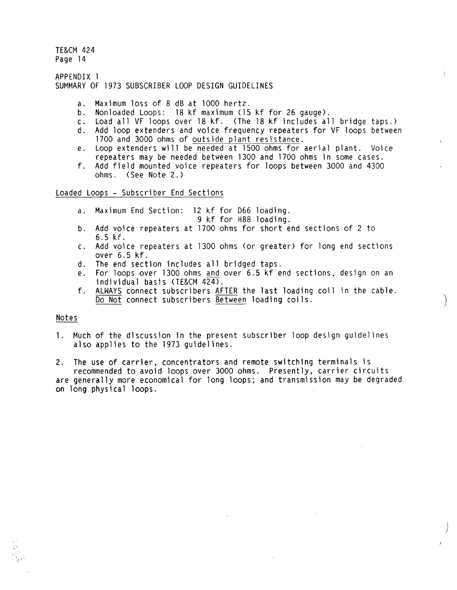APPENDIX l SUMMARY OF 1973 SUBSCRIBER LOOP DESIGN GUIDELINES

- a. Maximum loss of 8 dB at 1000 hertz.
- Nonloaded Loops: 18 kf maximum (15 kf for 26 gauge).
- c. Load all VF loops over 18 kf. (The 18 kf includes all bridge taps.)<br>d. Add loop extenders and voice frequency repeaters for VF loops between
- Add loop extenders and voice frequency repeaters for VF loops between 1700 and 3000 ohms of outside plant resistance.
- e. Loop extenders will be needed at 1500 ohms for aerial plant. Voice repeaters may be needed between 1300 and 1700 ohms in some cases.
- f. Add field mounted voice repeaters for loops between 3000 and 4300 ohms. (See Note 2.)

Loaded loops - Subscriber End Sections

- a. Maximum End Section: 12 kf for D66 loading. 9 kf for H88 loading.
	-
- b. Add voice repeaters at 1700·ohms for short end sections of 2 to 6.5 kf.
- c. Add voice repeaters at 1300 ohms (or greater) for long end sections over 6.5 kf.
- d. The end section includes all bridged taps.
- e. For loops over 1300 ohms and over 6.5 kf end sections, design on an individual basis (TE&CM 424).
- f. ALWAYS connect subscribers AFTER the last loading coil in the cable. Do Not connect subscribers Between loading coils.

 $\left( \begin{array}{c} 1 \end{array} \right)$ 

*)* 

# Notes

1. Much of the discussion in the present subscriber loop design guidelines also applies to the 1973 guidelines.

2. The use of carrier, concentrators and remote switching terminals is recommended to avoid loops over 3000 ohms. Presently, carrier circuits are generally more economical for long loops; and transmission may be degraded on long physical loops.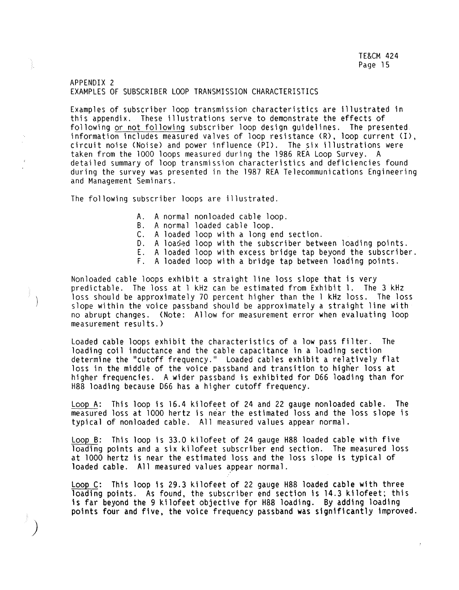# APPENDIX 2 EXAMPLES OF SUBSCRIBER LOOP TRANSMISSION CHARACTERISTICS

Examples of subscriber loop transmission characteristics are illustrated in this appendix. These illustrations serve to demonstrate the effects of following or not following subscriber loop design guidelines. The presented information includes measured valves of loop resistance (R), loop current (I), circuit noise (Noise) and power influence (PI). The six illustrations were taken from the 1000 loops measured during the 1986 REA Loop Survey. A detailed summary of loop transmission characteristics and deficiencies found during the survey was presented in the 1987 REA Telecommunications Engineering and Management Seminars.

The following subscriber loops are illustrated.

 $\big)$ 

ensiya.<br>K

- A. A normal nonloaded cable loop.
- B. A normal loaded cable loop.
- C. A loaded loop with a long end section.
- D. A loaded loop with the subscriber between loading points.
- E. A loaded loop with excess bridge tap beyond the subscriber.
- F. A loaded loop with a bridge tap between loading points.

Nonloaded cable loops exhibit a straight line loss slope that is very predictable. The loss at l kHz can be estimated from Exhibit 1. The 3 kHz loss should be approximately 70 percent higher than the 1 kHz loss. The loss slope within the voice passband should be approximately a straight line with no abrupt changes. (Note: Allow for measurement error when evaluating loop measurement results.)

Loaded cable loops exhibit the characteristics of a low pass filter. The loading coil inductance and the cable capacitance in a loading section determine the "cutoff frequency." Loaded cables exhibit a relatively flat loss in the middle of the voice passband and transition to higher loss at higher frequencies. A wider passband is exhibited for 066 loading than for H88 loading because 066 has a higher cutoff frequency.

Loop A: This loop is 16.4 kilofeet of 24 and 22 gauge nonloaded cable. The measured loss at 1000 hertz is near the estimated loss and the loss slope is typical of nonloaded cable. All measured values appear normal.

Loop B: This loop is 33.0 kilofeet of 24 gauge H88 loaded cable with five loading points and a six kilofeet subscriber end section. The measured loss at 1000 hertz is near the estimated loss and the loss slope is typical of loaded cable. All measured values appear normal.

Loop C: This loop is 29.3 kilofeet of 22 gauge H88 loaded cable with three loading points. As found, the subscriber end section is 14.3 kilofeet; this is far beyond the 9 kilofeet objective for H88 loading. By adding loading points four and five, the voice frequency passband was significantly improved.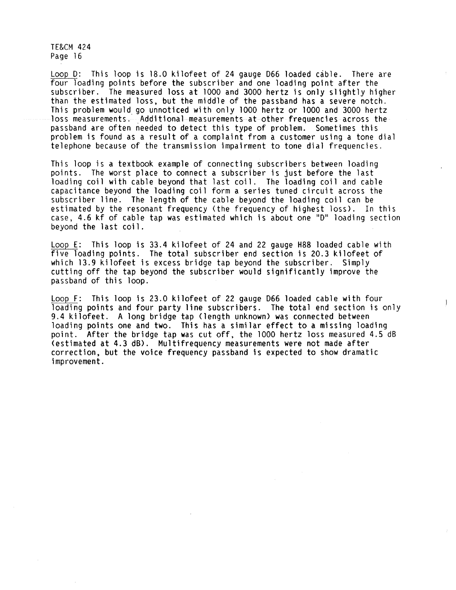Loop D: This loop is 18.0 kilofeet of 24 gauge D66 loaded cable. There are four loading points before the subscriber and one loading point after the subscriber. The measured loss at 1000 and 3000 hertz is only slightly higher than the estimated loss, but the middle of the passband has a severe notch. This problem would go unnoticed with only 1000 hertz or 1000 and 3000 hertz loss measurements. Additional measurements at other frequencies across the passband are often needed to detect this type of problem. Sometimes this problem is found as a result of a complaint from a customer using a tone dial telephone because of the transmission impairment to tone dial frequencies.

This loop is a textbook example of connecting subscribers between loading points. The worst place to connect a subscriber is just before the last loading coil with cable beyond that last coil. The loading coil and cable capacitance beyond the loading coil form a series tuned circuit across the subscriber line. The length of the cable beyond the loading coil can be estimated by the resonant frequency (the frequency of highest loss). In this case, 4.6 kf of cable tap was estimated which is about one "D" loading section beyond the last coil.

Loop E: This loop is 33.4 kilofeet of 24 and 22 gauge H88 loaded cable with five loading points. The total subscriber end section is 20.3 kilofeet of which 13.9 kilofeet is excess bridge tap beyond the subscriber. Simply cutting off the tap beyond the subscriber would significantly improve the passband of this loop.

Loop F: This loop is 23.0 kilofeet of 22 gauge D66 loaded cable with four loading points and four party line subscribers. The total end section is only 9.4 kilofeet. A long bridge tap (length unknown) was connected between loading points one and two. This has a similar effect to a missing loading point. After the bridge tap was cut off, the 1000 hertz loss measured 4.5 dB (estimated at 4.3 dB). Multifrequency measurements were not made after correction, but the voice frequency passband is expected to show dramatic improvement.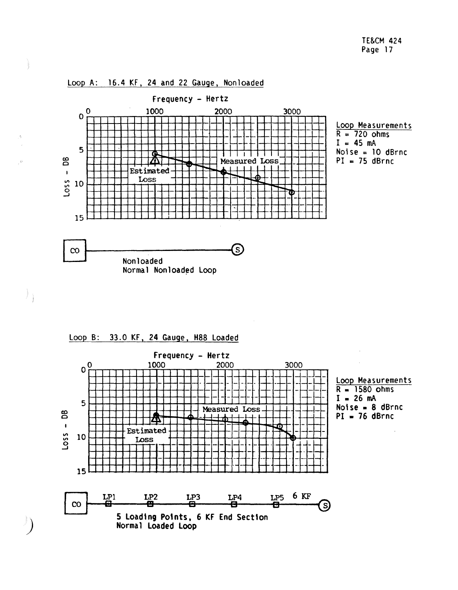

Loop A: 16.4 KF, 24 and 22 Gauge, Nonloaded

Loop B: 33.0 KF, 24 Gauge, H88 Loaded

*)* 

 $\}$ 

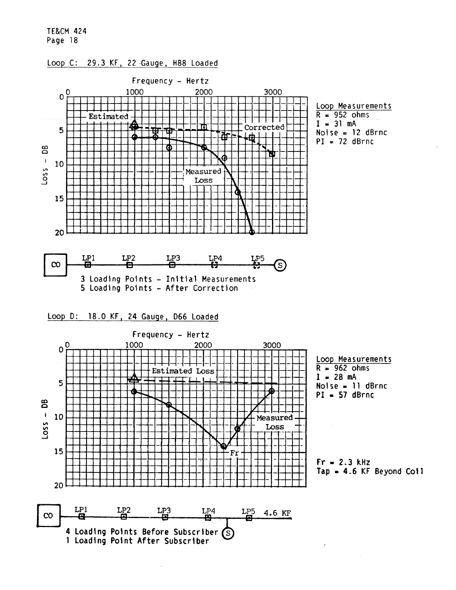

ł

# Loop C: 29.3 KF, 22 Gauge, H88 Loaded

1 **Loading Point After Subscriber**